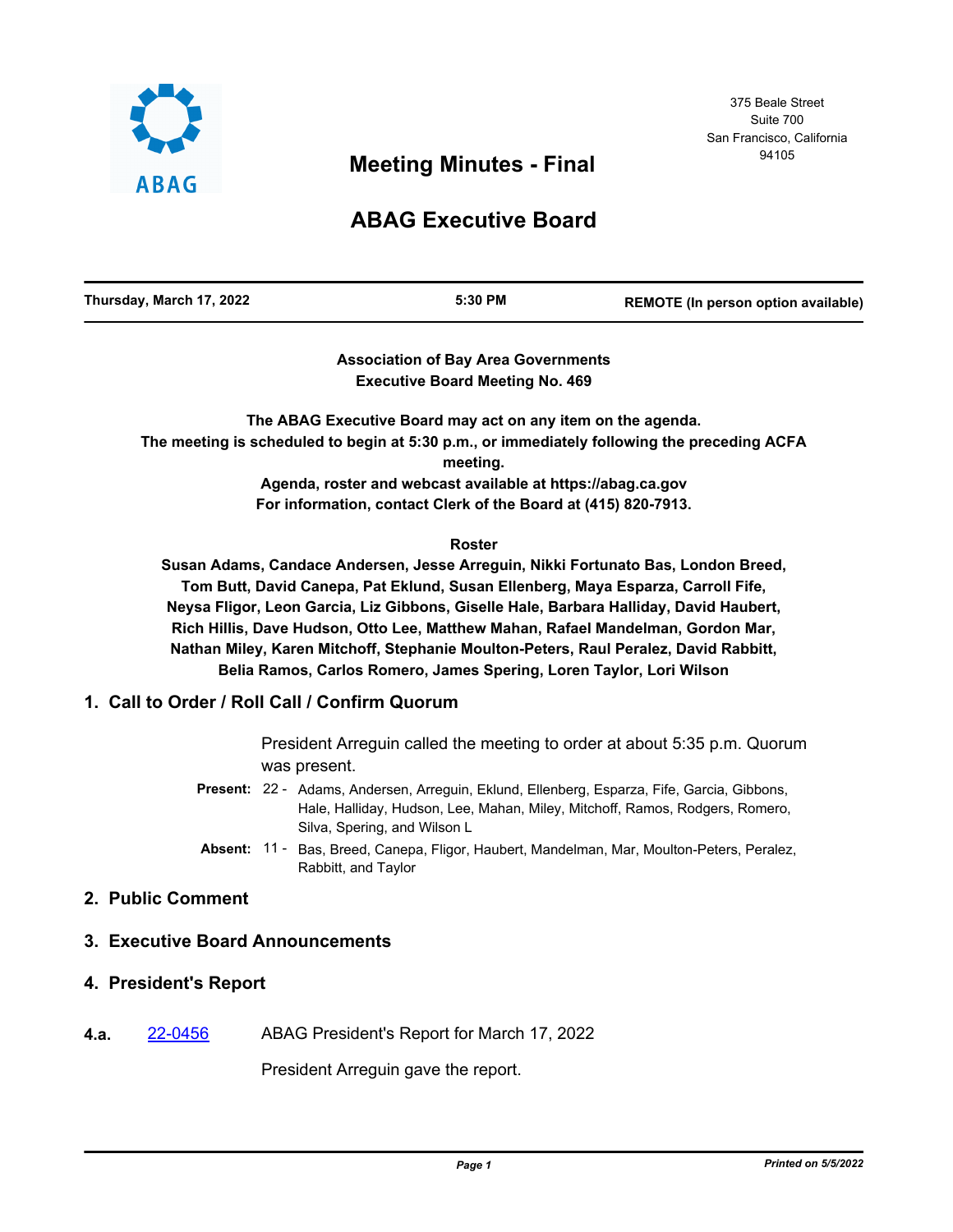

# <sup>94105</sup> **Meeting Minutes - Final**

# **ABAG Executive Board**

| Thursday, March 17, 2022 | 5:30 PM | REMOTE (In person option available) |
|--------------------------|---------|-------------------------------------|
|                          |         |                                     |

## **Association of Bay Area Governments Executive Board Meeting No. 469**

**The ABAG Executive Board may act on any item on the agenda. The meeting is scheduled to begin at 5:30 p.m., or immediately following the preceding ACFA meeting.**

**Agenda, roster and webcast available at https://abag.ca.gov For information, contact Clerk of the Board at (415) 820-7913.**

#### **Roster**

**Susan Adams, Candace Andersen, Jesse Arreguin, Nikki Fortunato Bas, London Breed, Tom Butt, David Canepa, Pat Eklund, Susan Ellenberg, Maya Esparza, Carroll Fife, Neysa Fligor, Leon Garcia, Liz Gibbons, Giselle Hale, Barbara Halliday, David Haubert, Rich Hillis, Dave Hudson, Otto Lee, Matthew Mahan, Rafael Mandelman, Gordon Mar, Nathan Miley, Karen Mitchoff, Stephanie Moulton-Peters, Raul Peralez, David Rabbitt, Belia Ramos, Carlos Romero, James Spering, Loren Taylor, Lori Wilson**

# **1. Call to Order / Roll Call / Confirm Quorum**

President Arreguin called the meeting to order at about 5:35 p.m. Quorum was present.

- Present: 22 Adams, Andersen, Arreguin, Eklund, Ellenberg, Esparza, Fife, Garcia, Gibbons, Hale, Halliday, Hudson, Lee, Mahan, Miley, Mitchoff, Ramos, Rodgers, Romero, Silva, Spering, and Wilson L
- Absent: 11 Bas, Breed, Canepa, Fligor, Haubert, Mandelman, Mar, Moulton-Peters, Peralez, Rabbitt, and Taylor

# **2. Public Comment**

# **3. Executive Board Announcements**

#### **4. President's Report**

**4.a.** [22-0456](http://mtc.legistar.com/gateway.aspx?m=l&id=/matter.aspx?key=23715) ABAG President's Report for March 17, 2022

President Arreguin gave the report.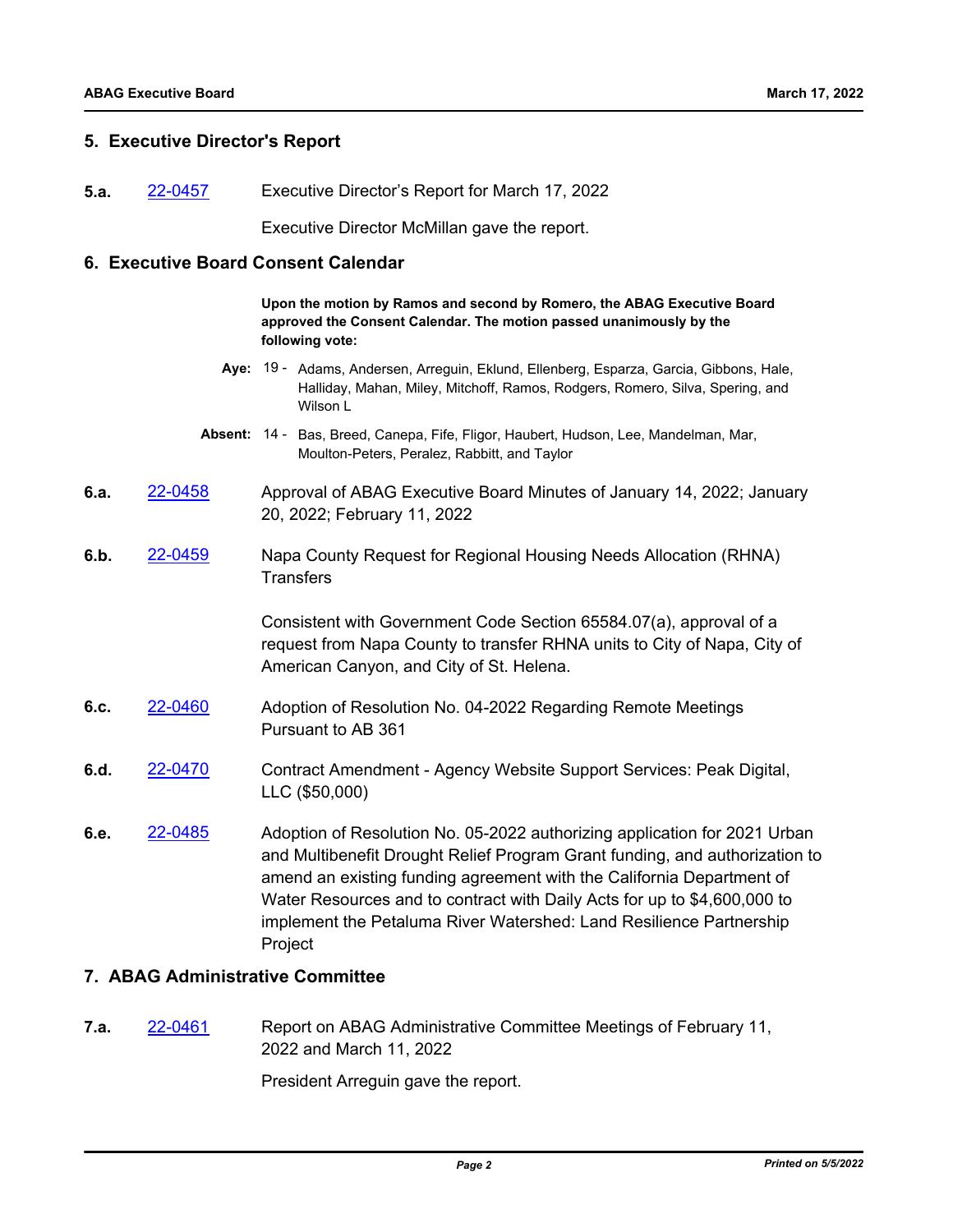#### **5. Executive Director's Report**

**5.a.** [22-0457](http://mtc.legistar.com/gateway.aspx?m=l&id=/matter.aspx?key=23716) Executive Director's Report for March 17, 2022

Executive Director McMillan gave the report.

#### **6. Executive Board Consent Calendar**

**Upon the motion by Ramos and second by Romero, the ABAG Executive Board approved the Consent Calendar. The motion passed unanimously by the following vote:**

- Aye: 19 Adams, Andersen, Arreguin, Eklund, Ellenberg, Esparza, Garcia, Gibbons, Hale, Halliday, Mahan, Miley, Mitchoff, Ramos, Rodgers, Romero, Silva, Spering, and Wilson L
- Absent: 14 Bas, Breed, Canepa, Fife, Fligor, Haubert, Hudson, Lee, Mandelman, Mar, Moulton-Peters, Peralez, Rabbitt, and Taylor
- **6.a.** [22-0458](http://mtc.legistar.com/gateway.aspx?m=l&id=/matter.aspx?key=23717) Approval of ABAG Executive Board Minutes of January 14, 2022; January 20, 2022; February 11, 2022
- **6.b.** [22-0459](http://mtc.legistar.com/gateway.aspx?m=l&id=/matter.aspx?key=23718) Napa County Request for Regional Housing Needs Allocation (RHNA) **Transfers**

Consistent with Government Code Section 65584.07(a), approval of a request from Napa County to transfer RHNA units to City of Napa, City of American Canyon, and City of St. Helena.

- **6.c.** [22-0460](http://mtc.legistar.com/gateway.aspx?m=l&id=/matter.aspx?key=23719) Adoption of Resolution No. 04-2022 Regarding Remote Meetings Pursuant to AB 361
- **6.d.** [22-0470](http://mtc.legistar.com/gateway.aspx?m=l&id=/matter.aspx?key=23729) Contract Amendment Agency Website Support Services: Peak Digital, LLC (\$50,000)
- **6.e.** [22-0485](http://mtc.legistar.com/gateway.aspx?m=l&id=/matter.aspx?key=23744) Adoption of Resolution No. 05-2022 authorizing application for 2021 Urban and Multibenefit Drought Relief Program Grant funding, and authorization to amend an existing funding agreement with the California Department of Water Resources and to contract with Daily Acts for up to \$4,600,000 to implement the Petaluma River Watershed: Land Resilience Partnership **Project**

# **7. ABAG Administrative Committee**

**7.a.** [22-0461](http://mtc.legistar.com/gateway.aspx?m=l&id=/matter.aspx?key=23720) Report on ABAG Administrative Committee Meetings of February 11, 2022 and March 11, 2022

President Arreguin gave the report.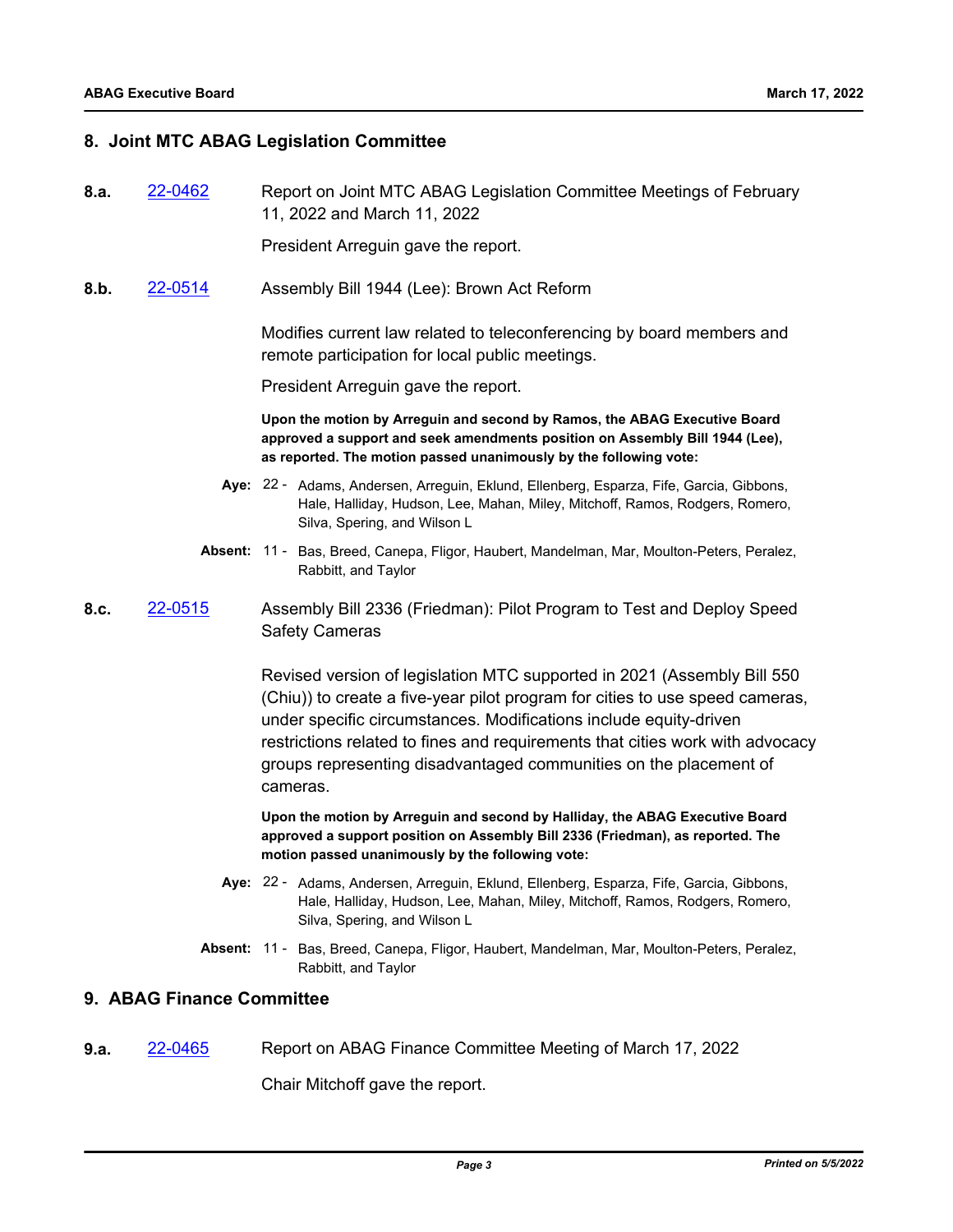#### **8. Joint MTC ABAG Legislation Committee**

**8.a.** [22-0462](http://mtc.legistar.com/gateway.aspx?m=l&id=/matter.aspx?key=23721) Report on Joint MTC ABAG Legislation Committee Meetings of February 11, 2022 and March 11, 2022

President Arreguin gave the report.

**8.b.** [22-0514](http://mtc.legistar.com/gateway.aspx?m=l&id=/matter.aspx?key=23773) Assembly Bill 1944 (Lee): Brown Act Reform

Modifies current law related to teleconferencing by board members and remote participation for local public meetings.

President Arreguin gave the report.

**Upon the motion by Arreguin and second by Ramos, the ABAG Executive Board approved a support and seek amendments position on Assembly Bill 1944 (Lee), as reported. The motion passed unanimously by the following vote:**

- Aye: 22 Adams, Andersen, Arreguin, Eklund, Ellenberg, Esparza, Fife, Garcia, Gibbons, Hale, Halliday, Hudson, Lee, Mahan, Miley, Mitchoff, Ramos, Rodgers, Romero, Silva, Spering, and Wilson L
- Absent: 11 Bas, Breed, Canepa, Fligor, Haubert, Mandelman, Mar, Moulton-Peters, Peralez, Rabbitt, and Taylor
- **8.c.** [22-0515](http://mtc.legistar.com/gateway.aspx?m=l&id=/matter.aspx?key=23774) Assembly Bill 2336 (Friedman): Pilot Program to Test and Deploy Speed Safety Cameras

Revised version of legislation MTC supported in 2021 (Assembly Bill 550 (Chiu)) to create a five-year pilot program for cities to use speed cameras, under specific circumstances. Modifications include equity-driven restrictions related to fines and requirements that cities work with advocacy groups representing disadvantaged communities on the placement of cameras.

**Upon the motion by Arreguin and second by Halliday, the ABAG Executive Board approved a support position on Assembly Bill 2336 (Friedman), as reported. The motion passed unanimously by the following vote:**

- Aye: 22 Adams, Andersen, Arreguin, Eklund, Ellenberg, Esparza, Fife, Garcia, Gibbons, Hale, Halliday, Hudson, Lee, Mahan, Miley, Mitchoff, Ramos, Rodgers, Romero, Silva, Spering, and Wilson L
- **Absent:** Bas, Breed, Canepa, Fligor, Haubert, Mandelman, Mar, Moulton-Peters, Peralez, Rabbitt, and Taylor **Absent: 11 -**

#### **9. ABAG Finance Committee**

**9.a.** [22-0465](http://mtc.legistar.com/gateway.aspx?m=l&id=/matter.aspx?key=23724) Report on ABAG Finance Committee Meeting of March 17, 2022

Chair Mitchoff gave the report.